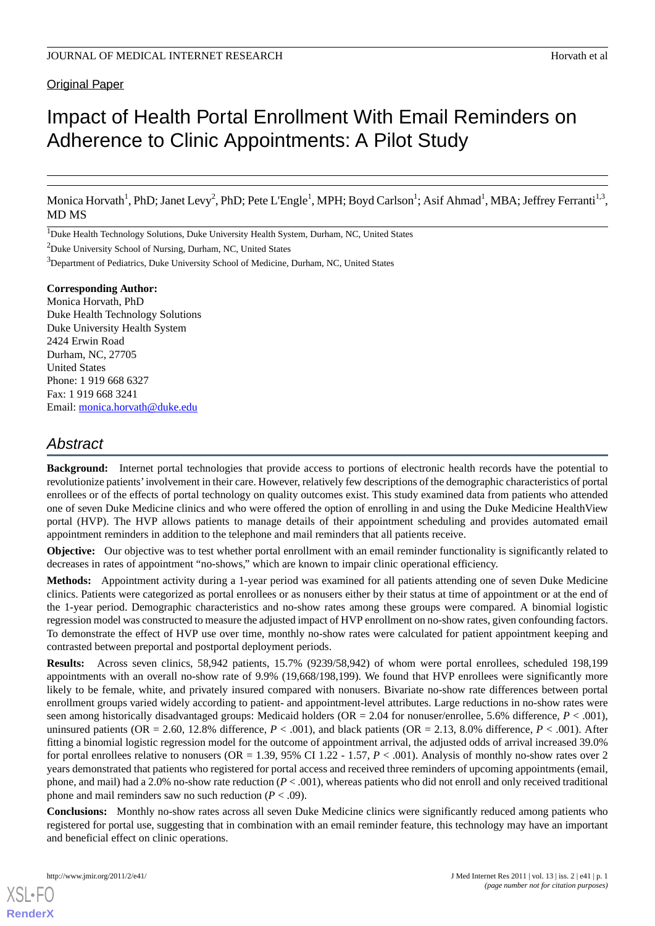# Impact of Health Portal Enrollment With Email Reminders on Adherence to Clinic Appointments: A Pilot Study

Monica Horvath<sup>1</sup>, PhD; Janet Levy<sup>2</sup>, PhD; Pete L'Engle<sup>1</sup>, MPH; Boyd Carlson<sup>1</sup>; Asif Ahmad<sup>1</sup>, MBA; Jeffrey Ferranti<sup>1,3</sup>, MD MS

<sup>1</sup>Duke Health Technology Solutions, Duke University Health System, Durham, NC, United States

<sup>2</sup>Duke University School of Nursing, Durham, NC, United States

<sup>3</sup>Department of Pediatrics, Duke University School of Medicine, Durham, NC, United States

#### **Corresponding Author:**

Monica Horvath, PhD Duke Health Technology Solutions Duke University Health System 2424 Erwin Road Durham, NC, 27705 United States Phone: 1 919 668 6327 Fax: 1 919 668 3241 Email: [monica.horvath@duke.edu](mailto:monica.horvath@duke.edu)

# *Abstract*

**Background:** Internet portal technologies that provide access to portions of electronic health records have the potential to revolutionize patients'involvement in their care. However, relatively few descriptions of the demographic characteristics of portal enrollees or of the effects of portal technology on quality outcomes exist. This study examined data from patients who attended one of seven Duke Medicine clinics and who were offered the option of enrolling in and using the Duke Medicine HealthView portal (HVP). The HVP allows patients to manage details of their appointment scheduling and provides automated email appointment reminders in addition to the telephone and mail reminders that all patients receive.

**Objective:** Our objective was to test whether portal enrollment with an email reminder functionality is significantly related to decreases in rates of appointment "no-shows," which are known to impair clinic operational efficiency.

**Methods:** Appointment activity during a 1-year period was examined for all patients attending one of seven Duke Medicine clinics. Patients were categorized as portal enrollees or as nonusers either by their status at time of appointment or at the end of the 1-year period. Demographic characteristics and no-show rates among these groups were compared. A binomial logistic regression model was constructed to measure the adjusted impact of HVP enrollment on no-show rates, given confounding factors. To demonstrate the effect of HVP use over time, monthly no-show rates were calculated for patient appointment keeping and contrasted between preportal and postportal deployment periods.

**Results:** Across seven clinics, 58,942 patients, 15.7% (9239/58,942) of whom were portal enrollees, scheduled 198,199 appointments with an overall no-show rate of 9.9% (19,668/198,199). We found that HVP enrollees were significantly more likely to be female, white, and privately insured compared with nonusers. Bivariate no-show rate differences between portal enrollment groups varied widely according to patient- and appointment-level attributes. Large reductions in no-show rates were seen among historically disadvantaged groups: Medicaid holders (OR = 2.04 for nonuser/enrollee, 5.6% difference,  $P < .001$ ), uninsured patients (OR = 2.60, 12.8% difference,  $P < .001$ ), and black patients (OR = 2.13, 8.0% difference,  $P < .001$ ). After fitting a binomial logistic regression model for the outcome of appointment arrival, the adjusted odds of arrival increased 39.0% for portal enrollees relative to nonusers (OR = 1.39, 95% CI 1.22 - 1.57, *P* < .001). Analysis of monthly no-show rates over 2 years demonstrated that patients who registered for portal access and received three reminders of upcoming appointments (email, phone, and mail) had a 2.0% no-show rate reduction (*P* < .001), whereas patients who did not enroll and only received traditional phone and mail reminders saw no such reduction  $(P < .09)$ .

**Conclusions:** Monthly no-show rates across all seven Duke Medicine clinics were significantly reduced among patients who registered for portal use, suggesting that in combination with an email reminder feature, this technology may have an important and beneficial effect on clinic operations.

[XSL](http://www.w3.org/Style/XSL)•FO **[RenderX](http://www.renderx.com/)**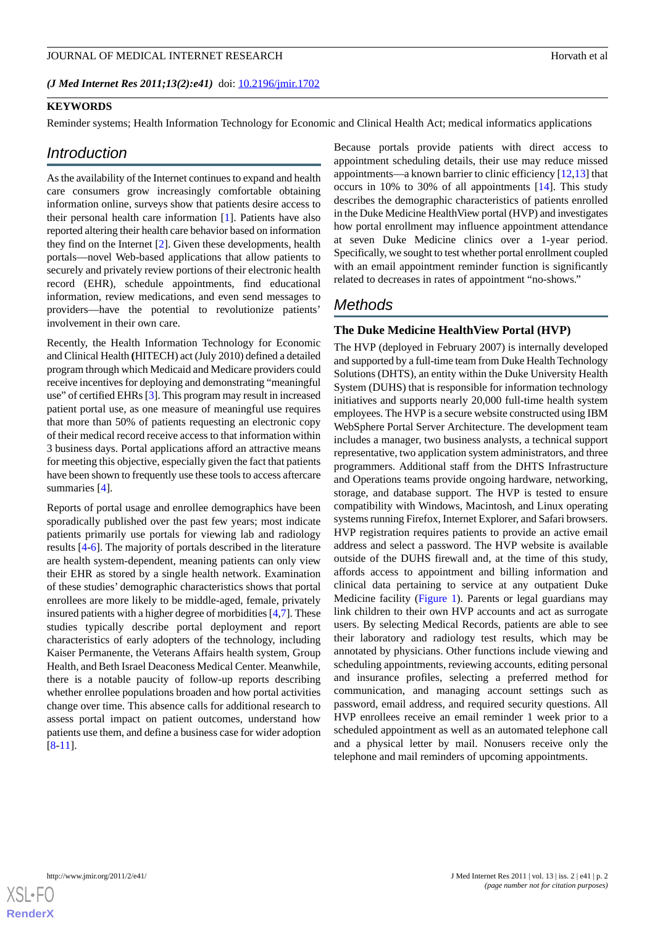*(J Med Internet Res 2011;13(2):e41)* doi:  $10.2196/$ jmir.1702

#### **KEYWORDS**

Reminder systems; Health Information Technology for Economic and Clinical Health Act; medical informatics applications

## *Introduction*

As the availability of the Internet continues to expand and health care consumers grow increasingly comfortable obtaining information online, surveys show that patients desire access to their personal health care information [\[1](#page-11-0)]. Patients have also reported altering their health care behavior based on information they find on the Internet [\[2](#page-11-1)]. Given these developments, health portals—novel Web-based applications that allow patients to securely and privately review portions of their electronic health record (EHR), schedule appointments, find educational information, review medications, and even send messages to providers—have the potential to revolutionize patients' involvement in their own care.

Recently, the Health Information Technology for Economic and Clinical Health **(**HITECH) act (July 2010) defined a detailed program through which Medicaid and Medicare providers could receive incentives for deploying and demonstrating "meaningful use" of certified EHRs [\[3](#page-12-0)]. This program may result in increased patient portal use, as one measure of meaningful use requires that more than 50% of patients requesting an electronic copy of their medical record receive access to that information within 3 business days. Portal applications afford an attractive means for meeting this objective, especially given the fact that patients have been shown to frequently use these tools to access aftercare summaries [[4\]](#page-12-1).

Reports of portal usage and enrollee demographics have been sporadically published over the past few years; most indicate patients primarily use portals for viewing lab and radiology results [\[4](#page-12-1)-[6\]](#page-12-2). The majority of portals described in the literature are health system-dependent, meaning patients can only view their EHR as stored by a single health network. Examination of these studies' demographic characteristics shows that portal enrollees are more likely to be middle-aged, female, privately insured patients with a higher degree of morbidities [\[4](#page-12-1)[,7](#page-12-3)]. These studies typically describe portal deployment and report characteristics of early adopters of the technology, including Kaiser Permanente, the Veterans Affairs health system, Group Health, and Beth Israel Deaconess Medical Center. Meanwhile, there is a notable paucity of follow-up reports describing whether enrollee populations broaden and how portal activities change over time. This absence calls for additional research to assess portal impact on patient outcomes, understand how patients use them, and define a business case for wider adoption [[8](#page-12-4)[-11](#page-12-5)].

Because portals provide patients with direct access to appointment scheduling details, their use may reduce missed appointments—a known barrier to clinic efficiency [[12](#page-12-6)[,13](#page-12-7)] that occurs in 10% to 30% of all appointments [[14\]](#page-12-8). This study describes the demographic characteristics of patients enrolled in the Duke Medicine HealthView portal (HVP) and investigates how portal enrollment may influence appointment attendance at seven Duke Medicine clinics over a 1-year period. Specifically, we sought to test whether portal enrollment coupled with an email appointment reminder function is significantly related to decreases in rates of appointment "no-shows."

# *Methods*

## **The Duke Medicine HealthView Portal (HVP)**

The HVP (deployed in February 2007) is internally developed and supported by a full-time team from Duke Health Technology Solutions (DHTS), an entity within the Duke University Health System (DUHS) that is responsible for information technology initiatives and supports nearly 20,000 full-time health system employees. The HVP is a secure website constructed using IBM WebSphere Portal Server Architecture. The development team includes a manager, two business analysts, a technical support representative, two application system administrators, and three programmers. Additional staff from the DHTS Infrastructure and Operations teams provide ongoing hardware, networking, storage, and database support. The HVP is tested to ensure compatibility with Windows, Macintosh, and Linux operating systems running Firefox, Internet Explorer, and Safari browsers. HVP registration requires patients to provide an active email address and select a password. The HVP website is available outside of the DUHS firewall and, at the time of this study, affords access to appointment and billing information and clinical data pertaining to service at any outpatient Duke Medicine facility [\(Figure 1](#page-2-0)). Parents or legal guardians may link children to their own HVP accounts and act as surrogate users. By selecting Medical Records, patients are able to see their laboratory and radiology test results, which may be annotated by physicians. Other functions include viewing and scheduling appointments, reviewing accounts, editing personal and insurance profiles, selecting a preferred method for communication, and managing account settings such as password, email address, and required security questions. All HVP enrollees receive an email reminder 1 week prior to a scheduled appointment as well as an automated telephone call and a physical letter by mail. Nonusers receive only the telephone and mail reminders of upcoming appointments.

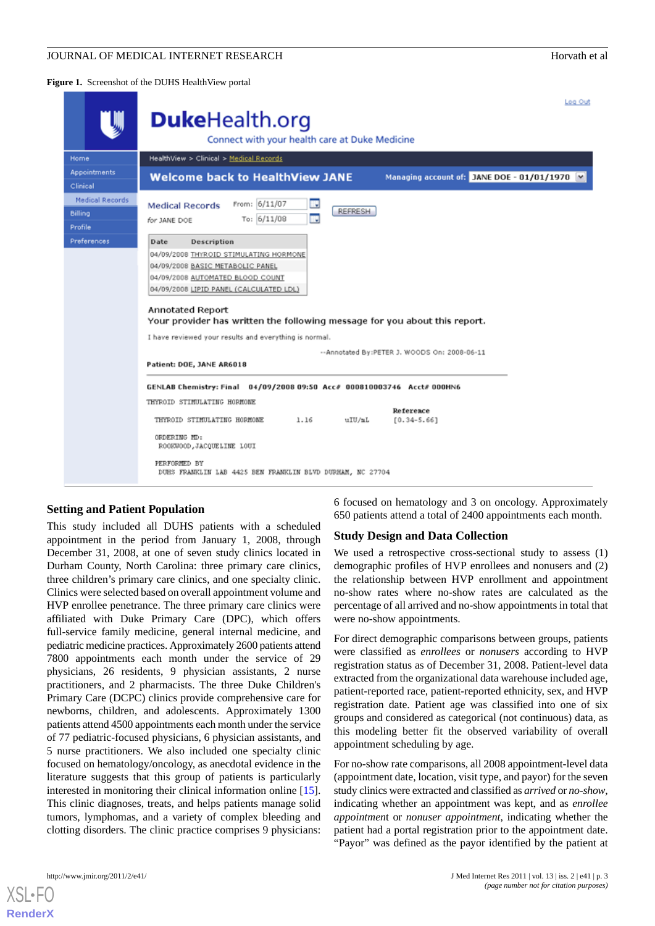<span id="page-2-0"></span>**Figure 1.** Screenshot of the DUHS HealthView portal

|                                                     | Log Out                                                                                                                                                                                                                                                                                                                                                                                                                                                                                                                                                                                                                                                                                                                                        |
|-----------------------------------------------------|------------------------------------------------------------------------------------------------------------------------------------------------------------------------------------------------------------------------------------------------------------------------------------------------------------------------------------------------------------------------------------------------------------------------------------------------------------------------------------------------------------------------------------------------------------------------------------------------------------------------------------------------------------------------------------------------------------------------------------------------|
| UJII                                                | <b>Duke</b> Health.org                                                                                                                                                                                                                                                                                                                                                                                                                                                                                                                                                                                                                                                                                                                         |
|                                                     | Connect with your health care at Duke Medicine                                                                                                                                                                                                                                                                                                                                                                                                                                                                                                                                                                                                                                                                                                 |
| Home                                                | HealthView > Clinical > Medical Records                                                                                                                                                                                                                                                                                                                                                                                                                                                                                                                                                                                                                                                                                                        |
| <b>Appointments</b><br>Clinical                     | <b>Welcome back to HealthView JANE</b><br>Managing account of: JANE DOE - 01/01/1970  v                                                                                                                                                                                                                                                                                                                                                                                                                                                                                                                                                                                                                                                        |
| <b>Medical Records</b><br><b>Billing</b><br>Profile | From: 6/11/07<br>m.<br><b>Medical Records</b><br><b>REFRESH</b><br>II.<br>To: 6/11/08<br>for JANE DOE                                                                                                                                                                                                                                                                                                                                                                                                                                                                                                                                                                                                                                          |
| Preferences                                         | Description<br>Date<br>04/09/2008 THYROID STIMULATING HORMONE<br>04/09/2008 BASIC METABOLIC PANEL<br>04/09/2008 AUTOMATED BLOOD COUNT<br>04/09/2008 LIPID PANEL (CALCULATED LDL)<br>Annotated Report<br>Your provider has written the following message for you about this report.<br>I have reviewed your results and everything is normal.<br>--Annotated By:PETER J. WOODS On: 2008-06-11<br>Patient: DOE, JANE AR6018<br>GENLAB Chemistry: Final 04/09/2008 09:50 Acc# 000810003746 Acct# 000HN6<br>THYROID STIMULATING HORMONE<br>Reference<br>1.16<br>THYROID STIMULATING HORMONE<br>uIU/mL<br>$[0.34 - 5.66]$<br>ORDERING HD:<br>ROOKWOOD, JACQUELINE LOUI<br>PERFORMED BY<br>DUHS FRANKLIN LAB 4425 BEN FRANKLIN BLVD DURHAM, NC 27704 |

## **Setting and Patient Population**

This study included all DUHS patients with a scheduled appointment in the period from January 1, 2008, through December 31, 2008, at one of seven study clinics located in Durham County, North Carolina: three primary care clinics, three children's primary care clinics, and one specialty clinic. Clinics were selected based on overall appointment volume and HVP enrollee penetrance. The three primary care clinics were affiliated with Duke Primary Care (DPC), which offers full-service family medicine, general internal medicine, and pediatric medicine practices. Approximately 2600 patients attend 7800 appointments each month under the service of 29 physicians, 26 residents, 9 physician assistants, 2 nurse practitioners, and 2 pharmacists. The three Duke Children's Primary Care (DCPC) clinics provide comprehensive care for newborns, children, and adolescents. Approximately 1300 patients attend 4500 appointments each month under the service of 77 pediatric-focused physicians, 6 physician assistants, and 5 nurse practitioners. We also included one specialty clinic focused on hematology/oncology, as anecdotal evidence in the literature suggests that this group of patients is particularly interested in monitoring their clinical information online [[15\]](#page-12-9). This clinic diagnoses, treats, and helps patients manage solid tumors, lymphomas, and a variety of complex bleeding and clotting disorders. The clinic practice comprises 9 physicians:

6 focused on hematology and 3 on oncology. Approximately 650 patients attend a total of 2400 appointments each month.

#### **Study Design and Data Collection**

We used a retrospective cross-sectional study to assess (1) demographic profiles of HVP enrollees and nonusers and (2) the relationship between HVP enrollment and appointment no-show rates where no-show rates are calculated as the percentage of all arrived and no-show appointments in total that were no-show appointments.

For direct demographic comparisons between groups, patients were classified as *enrollees* or *nonusers* according to HVP registration status as of December 31, 2008. Patient-level data extracted from the organizational data warehouse included age, patient-reported race, patient-reported ethnicity, sex, and HVP registration date. Patient age was classified into one of six groups and considered as categorical (not continuous) data, as this modeling better fit the observed variability of overall appointment scheduling by age.

For no-show rate comparisons, all 2008 appointment-level data (appointment date, location, visit type, and payor) for the seven study clinics were extracted and classified as *arrived* or *no-show*, indicating whether an appointment was kept, and as *enrollee appointmen*t or *nonuser appointment*, indicating whether the patient had a portal registration prior to the appointment date. "Payor" was defined as the payor identified by the patient at



 $X$ SL•F $O$ **[RenderX](http://www.renderx.com/)**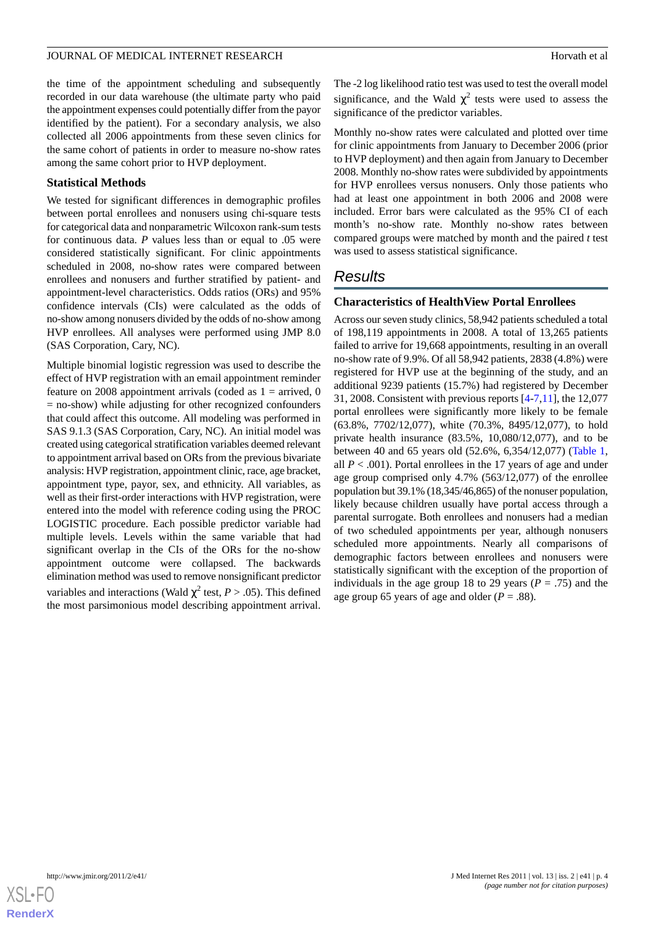the time of the appointment scheduling and subsequently recorded in our data warehouse (the ultimate party who paid the appointment expenses could potentially differ from the payor identified by the patient). For a secondary analysis, we also collected all 2006 appointments from these seven clinics for the same cohort of patients in order to measure no-show rates among the same cohort prior to HVP deployment.

## **Statistical Methods**

We tested for significant differences in demographic profiles between portal enrollees and nonusers using chi-square tests for categorical data and nonparametric Wilcoxon rank-sum tests for continuous data. *P* values less than or equal to .05 were considered statistically significant. For clinic appointments scheduled in 2008, no-show rates were compared between enrollees and nonusers and further stratified by patient- and appointment-level characteristics. Odds ratios (ORs) and 95% confidence intervals (CIs) were calculated as the odds of no-show among nonusers divided by the odds of no-show among HVP enrollees. All analyses were performed using JMP 8.0 (SAS Corporation, Cary, NC).

Multiple binomial logistic regression was used to describe the effect of HVP registration with an email appointment reminder feature on 2008 appointment arrivals (coded as  $1 =$  arrived, 0  $=$  no-show) while adjusting for other recognized confounders that could affect this outcome. All modeling was performed in SAS 9.1.3 (SAS Corporation, Cary, NC). An initial model was created using categorical stratification variables deemed relevant to appointment arrival based on ORs from the previous bivariate analysis: HVP registration, appointment clinic, race, age bracket, appointment type, payor, sex, and ethnicity. All variables, as well as their first-order interactions with HVP registration, were entered into the model with reference coding using the PROC LOGISTIC procedure. Each possible predictor variable had multiple levels. Levels within the same variable that had significant overlap in the CIs of the ORs for the no-show appointment outcome were collapsed. The backwards elimination method was used to remove nonsignificant predictor variables and interactions (Wald  $\chi^2$  test,  $P > .05$ ). This defined the most parsimonious model describing appointment arrival.

The -2 log likelihood ratio test was used to test the overall model significance, and the Wald  $\chi^2$  tests were used to assess the significance of the predictor variables.

Monthly no-show rates were calculated and plotted over time for clinic appointments from January to December 2006 (prior to HVP deployment) and then again from January to December 2008. Monthly no-show rates were subdivided by appointments for HVP enrollees versus nonusers. Only those patients who had at least one appointment in both 2006 and 2008 were included. Error bars were calculated as the 95% CI of each month's no-show rate. Monthly no-show rates between compared groups were matched by month and the paired *t* test was used to assess statistical significance.

# *Results*

## **Characteristics of HealthView Portal Enrollees**

Across our seven study clinics, 58,942 patients scheduled a total of 198,119 appointments in 2008. A total of 13,265 patients failed to arrive for 19,668 appointments, resulting in an overall no-show rate of 9.9%. Of all 58,942 patients, 2838 (4.8%) were registered for HVP use at the beginning of the study, and an additional 9239 patients (15.7%) had registered by December 31, 2008. Consistent with previous reports [\[4](#page-12-1)[-7](#page-12-3),[11\]](#page-12-5), the 12,077 portal enrollees were significantly more likely to be female (63.8%, 7702/12,077), white (70.3%, 8495/12,077), to hold private health insurance (83.5%, 10,080/12,077), and to be between 40 and 65 years old (52.6%, 6,354/12,077) [\(Table 1](#page-4-0), all  $P < .001$ ). Portal enrollees in the 17 years of age and under age group comprised only 4.7% (563/12,077) of the enrollee population but 39.1% (18,345/46,865) of the nonuser population, likely because children usually have portal access through a parental surrogate. Both enrollees and nonusers had a median of two scheduled appointments per year, although nonusers scheduled more appointments. Nearly all comparisons of demographic factors between enrollees and nonusers were statistically significant with the exception of the proportion of individuals in the age group 18 to 29 years ( $P = .75$ ) and the age group 65 years of age and older  $(P = .88)$ .

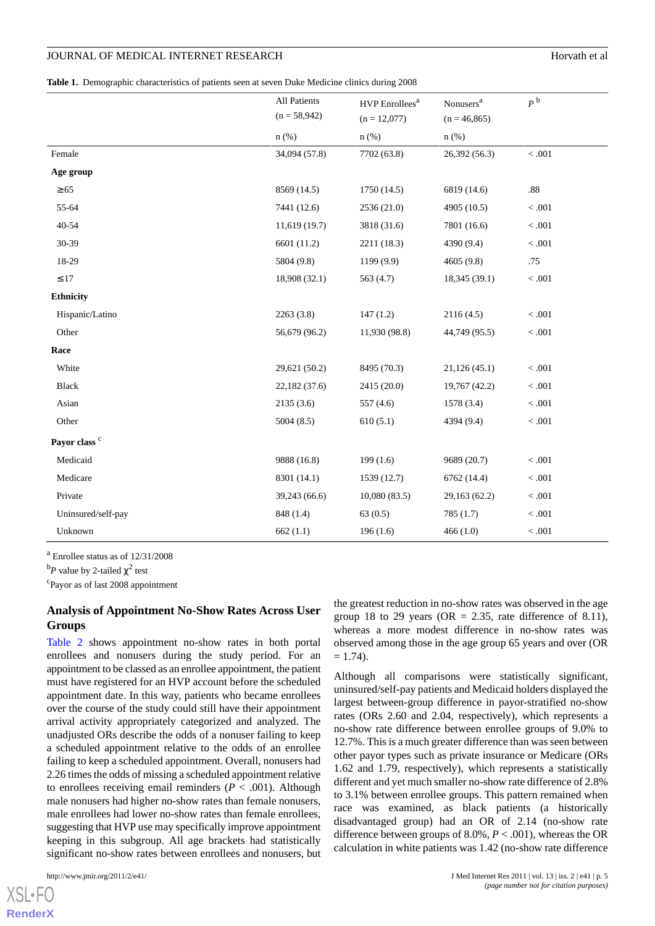<span id="page-4-0"></span>**Table 1.** Demographic characteristics of patients seen at seven Duke Medicine clinics during 2008

|                          | All Patients<br>$(n = 58,942)$ | HVP Enrollees <sup>a</sup> | Nonusers <sup>a</sup> | $P^{\text{b}}$ |
|--------------------------|--------------------------------|----------------------------|-----------------------|----------------|
|                          |                                | $(n = 12,077)$             | $(n = 46,865)$        |                |
|                          | $n$ (%)                        | $n$ $(\%)$                 | $n$ (%)               |                |
| Female                   | 34,094 (57.8)                  | 7702 (63.8)                | 26,392 (56.3)         | $<.001$        |
| Age group                |                                |                            |                       |                |
| $\geq 65$                | 8569 (14.5)                    | 1750(14.5)                 | 6819 (14.6)           | $.88\,$        |
| 55-64                    | 7441 (12.6)                    | 2536 (21.0)                | 4905 (10.5)           | $<.001\,$      |
| 40-54                    | 11,619 (19.7)                  | 3818 (31.6)                | 7801 (16.6)           | $<.001$        |
| 30-39                    | 6601 (11.2)                    | 2211 (18.3)                | 4390 (9.4)            | $<.001$        |
| 18-29                    | 5804 (9.8)                     | 1199 (9.9)                 | 4605(9.8)             | .75            |
| $\leq 17$                | 18,908 (32.1)                  | 563 (4.7)                  | 18,345 (39.1)         | $<.001$        |
| <b>Ethnicity</b>         |                                |                            |                       |                |
| Hispanic/Latino          | 2263(3.8)                      | 147(1.2)                   | 2116(4.5)             | < .001         |
| Other                    | 56,679 (96.2)                  | 11,930 (98.8)              | 44,749 (95.5)         | $<.001$        |
| Race                     |                                |                            |                       |                |
| White                    | 29,621 (50.2)                  | 8495 (70.3)                | 21,126(45.1)          | $<.001$        |
| Black                    | 22,182(37.6)                   | 2415 (20.0)                | 19,767 (42.2)         | < .001         |
| Asian                    | 2135(3.6)                      | 557 (4.6)                  | 1578 (3.4)            | $<.001$        |
| Other                    | 5004(8.5)                      | 610(5.1)                   | 4394 (9.4)            | $<.001$        |
| Payor class <sup>c</sup> |                                |                            |                       |                |
| Medicaid                 | 9888 (16.8)                    | 199(1.6)                   | 9689 (20.7)           | < .001         |
| Medicare                 | 8301 (14.1)                    | 1539(12.7)                 | 6762 (14.4)           | $<.001$        |
| Private                  | 39,243 (66.6)                  | 10,080(83.5)               | 29,163 (62.2)         | $<.001$        |
| Uninsured/self-pay       | 848 (1.4)                      | 63(0.5)                    | 785(1.7)              | $<.001$        |
| Unknown                  | 662(1.1)                       | 196(1.6)                   | 466(1.0)              | $<.001$        |

 $a$  Enrollee status as of  $12/31/2008$ 

<sup>b</sup>P value by 2-tailed  $\chi^2$  test

<sup>c</sup>Payor as of last 2008 appointment

## **Analysis of Appointment No-Show Rates Across User Groups**

[Table 2](#page-6-0) shows appointment no-show rates in both portal enrollees and nonusers during the study period. For an appointment to be classed as an enrollee appointment, the patient must have registered for an HVP account before the scheduled appointment date. In this way, patients who became enrollees over the course of the study could still have their appointment arrival activity appropriately categorized and analyzed. The unadjusted ORs describe the odds of a nonuser failing to keep a scheduled appointment relative to the odds of an enrollee failing to keep a scheduled appointment. Overall, nonusers had 2.26 times the odds of missing a scheduled appointment relative to enrollees receiving email reminders ( $P < .001$ ). Although male nonusers had higher no-show rates than female nonusers, male enrollees had lower no-show rates than female enrollees, suggesting that HVP use may specifically improve appointment keeping in this subgroup. All age brackets had statistically significant no-show rates between enrollees and nonusers, but

the greatest reduction in no-show rates was observed in the age group 18 to 29 years (OR  $= 2.35$ , rate difference of 8.11), whereas a more modest difference in no-show rates was observed among those in the age group 65 years and over (OR  $= 1.74$ ).

Although all comparisons were statistically significant, uninsured/self-pay patients and Medicaid holders displayed the largest between-group difference in payor-stratified no-show rates (ORs 2.60 and 2.04, respectively), which represents a no-show rate difference between enrollee groups of 9.0% to 12.7%. This is a much greater difference than was seen between other payor types such as private insurance or Medicare (ORs 1.62 and 1.79, respectively), which represents a statistically different and yet much smaller no-show rate difference of 2.8% to 3.1% between enrollee groups. This pattern remained when race was examined, as black patients (a historically disadvantaged group) had an OR of 2.14 (no-show rate difference between groups of 8.0%, *P* < .001), whereas the OR calculation in white patients was 1.42 (no-show rate difference

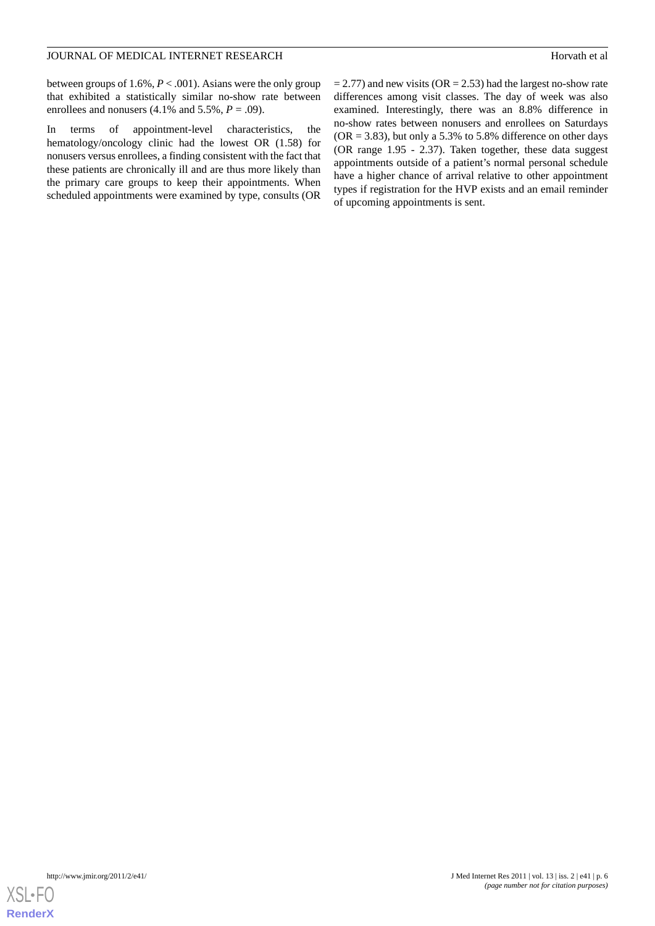between groups of 1.6%, *P* < .001). Asians were the only group that exhibited a statistically similar no-show rate between enrollees and nonusers  $(4.1\% \text{ and } 5.5\%, P = .09)$ .

In terms of appointment-level characteristics, the hematology/oncology clinic had the lowest OR (1.58) for nonusers versus enrollees, a finding consistent with the fact that these patients are chronically ill and are thus more likely than the primary care groups to keep their appointments. When scheduled appointments were examined by type, consults (OR  $= 2.77$ ) and new visits (OR  $= 2.53$ ) had the largest no-show rate differences among visit classes. The day of week was also examined. Interestingly, there was an 8.8% difference in no-show rates between nonusers and enrollees on Saturdays  $(OR = 3.83)$ , but only a 5.3% to 5.8% difference on other days (OR range 1.95 - 2.37). Taken together, these data suggest appointments outside of a patient's normal personal schedule have a higher chance of arrival relative to other appointment types if registration for the HVP exists and an email reminder of upcoming appointments is sent.

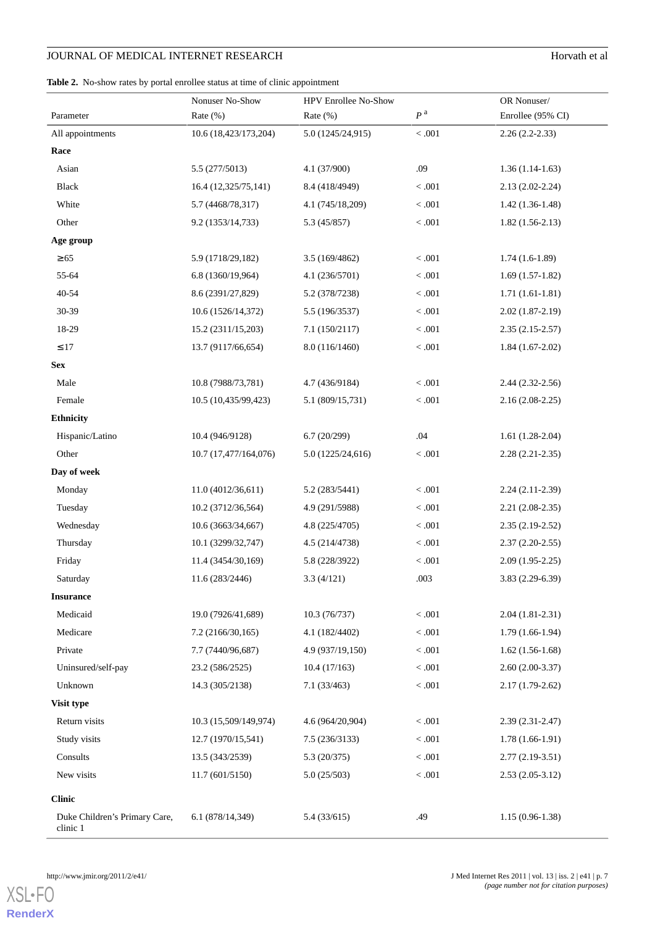# **JOURNAL OF MEDICAL INTERNET RESEARCH** Horvath et al

<span id="page-6-0"></span>

|  |  |  |  |  |  |  |  |  | Table 2. No-show rates by portal enrollee status at time of clinic appointment |  |
|--|--|--|--|--|--|--|--|--|--------------------------------------------------------------------------------|--|
|--|--|--|--|--|--|--|--|--|--------------------------------------------------------------------------------|--|

|                                           | Nonuser No-Show       | HPV Enrollee No-Show |                | OR Nonuser/         |  |  |
|-------------------------------------------|-----------------------|----------------------|----------------|---------------------|--|--|
| Parameter                                 | Rate (%)              | Rate (%)             | P <sup>a</sup> | Enrollee (95% CI)   |  |  |
| All appointments                          | 10.6 (18,423/173,204) | 5.0 (1245/24,915)    | $<.001$        | $2.26(2.2-2.33)$    |  |  |
| Race                                      |                       |                      |                |                     |  |  |
| Asian                                     | 5.5 (277/5013)        | 4.1 (37/900)         | .09            | $1.36(1.14-1.63)$   |  |  |
| Black                                     | 16.4 (12,325/75,141)  | 8.4 (418/4949)       | $<.001$        | $2.13(2.02 - 2.24)$ |  |  |
| White                                     | 5.7 (4468/78,317)     | 4.1 (745/18,209)     | $<.001$        | $1.42(1.36-1.48)$   |  |  |
| Other                                     | 9.2 (1353/14,733)     | 5.3(45/857)          | $<.001$        | $1.82(1.56-2.13)$   |  |  |
| Age group                                 |                       |                      |                |                     |  |  |
| $\geq 65$                                 | 5.9 (1718/29,182)     | 3.5(169/4862)        | < .001         | $1.74(1.6-1.89)$    |  |  |
| 55-64                                     | 6.8 (1360/19,964)     | 4.1(236/5701)        | $<.001$        | $1.69(1.57-1.82)$   |  |  |
| 40-54                                     | 8.6 (2391/27,829)     | 5.2 (378/7238)       | $<.001$        | $1.71(1.61-1.81)$   |  |  |
| 30-39                                     | 10.6 (1526/14,372)    | 5.5 (196/3537)       | $<.001$        | $2.02(1.87-2.19)$   |  |  |
| 18-29                                     | 15.2 (2311/15,203)    | 7.1(150/2117)        | < .001         | $2.35(2.15-2.57)$   |  |  |
| $\leq 17$                                 | 13.7 (9117/66,654)    | 8.0 (116/1460)       | $<.001$        | $1.84(1.67-2.02)$   |  |  |
| <b>Sex</b>                                |                       |                      |                |                     |  |  |
| Male                                      | 10.8 (7988/73,781)    | 4.7 (436/9184)       | $<.001$        | $2.44(2.32-2.56)$   |  |  |
| Female                                    | 10.5 (10,435/99,423)  | 5.1 (809/15,731)     | $<.001$        | $2.16(2.08-2.25)$   |  |  |
| <b>Ethnicity</b>                          |                       |                      |                |                     |  |  |
| Hispanic/Latino                           | 10.4 (946/9128)       | 6.7(20/299)          | .04            | $1.61(1.28-2.04)$   |  |  |
| Other                                     | 10.7 (17,477/164,076) | 5.0 (1225/24,616)    | $<.001$        | $2.28(2.21-2.35)$   |  |  |
| Day of week                               |                       |                      |                |                     |  |  |
| Monday                                    | 11.0 (4012/36,611)    | 5.2 (283/5441)       | $<.001$        | $2.24(2.11-2.39)$   |  |  |
| Tuesday                                   | 10.2 (3712/36,564)    | 4.9 (291/5988)       | $<.001$        | $2.21(2.08-2.35)$   |  |  |
| Wednesday                                 | 10.6 (3663/34,667)    | 4.8 (225/4705)       | $<.001$        | $2.35(2.19-2.52)$   |  |  |
| Thursday                                  | 10.1 (3299/32,747)    | 4.5 (214/4738)       | < .001         | $2.37(2.20-2.55)$   |  |  |
| Friday                                    | 11.4 (3454/30,169)    | 5.8 (228/3922)       | $<.001\,$      | $2.09(1.95-2.25)$   |  |  |
| Saturday                                  | 11.6 (283/2446)       | 3.3(4/121)           | .003           | 3.83 (2.29-6.39)    |  |  |
| <b>Insurance</b>                          |                       |                      |                |                     |  |  |
| Medicaid                                  | 19.0 (7926/41,689)    | 10.3(76/737)         | $<.001$        | $2.04(1.81-2.31)$   |  |  |
| Medicare                                  | 7.2(2166/30,165)      | 4.1 (182/4402)       | < 0.001        | $1.79(1.66-1.94)$   |  |  |
| Private                                   | 7.7 (7440/96,687)     | 4.9 (937/19,150)     | $<.001$        | $1.62(1.56-1.68)$   |  |  |
| Uninsured/self-pay                        | 23.2 (586/2525)       | 10.4(17/163)         | < 0.001        | $2.60(2.00-3.37)$   |  |  |
| Unknown                                   | 14.3 (305/2138)       | 7.1(33/463)          | < 0.001        | $2.17(1.79-2.62)$   |  |  |
| Visit type                                |                       |                      |                |                     |  |  |
| Return visits                             | 10.3 (15,509/149,974) | 4.6 (964/20,904)     | < .001         | $2.39(2.31-2.47)$   |  |  |
| Study visits                              | 12.7 (1970/15,541)    | 7.5(236/3133)        | < 0.001        | $1.78(1.66-1.91)$   |  |  |
| Consults                                  | 13.5 (343/2539)       | 5.3(20/375)          | < .001         | $2.77(2.19-3.51)$   |  |  |
| New visits                                | 11.7 (601/5150)       | 5.0(25/503)          | $<.001$        | $2.53(2.05-3.12)$   |  |  |
| <b>Clinic</b>                             |                       |                      |                |                     |  |  |
| Duke Children's Primary Care,<br>clinic 1 | 6.1(878/14,349)       | 5.4(33/615)          | .49            | $1.15(0.96-1.38)$   |  |  |



[XSL](http://www.w3.org/Style/XSL)•FO **[RenderX](http://www.renderx.com/)**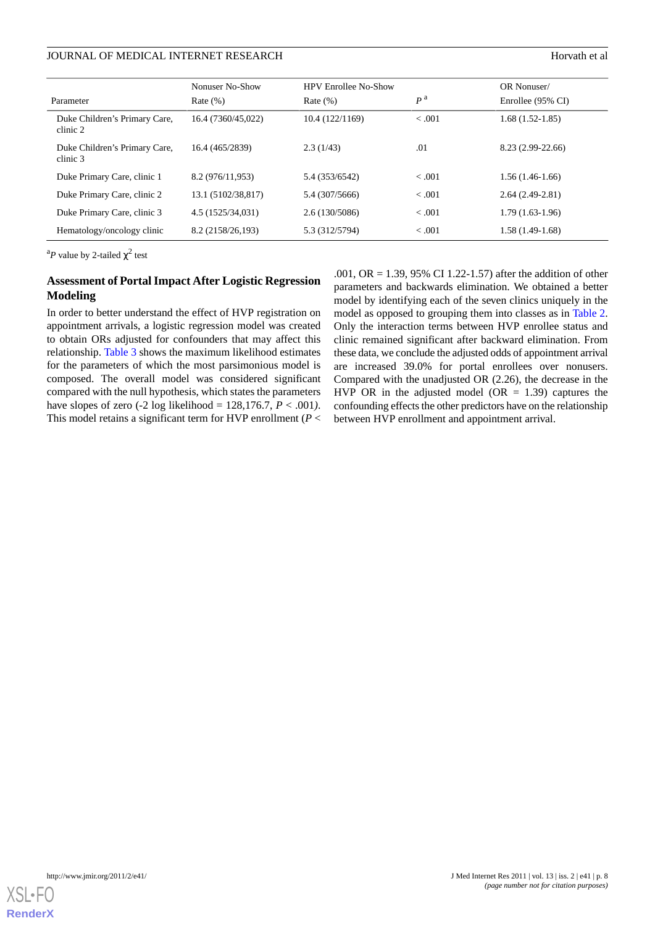## JOURNAL OF MEDICAL INTERNET RESEARCH HORVATH ET ALL THE SEARCH HORVATH ET ALL THE SEARCH HORVATH ET ALL THE SEARCH

|                                           | Nonuser No-Show    | <b>HPV Enrollee No-Show</b> |                | OR Nonuser/       |
|-------------------------------------------|--------------------|-----------------------------|----------------|-------------------|
| Parameter                                 | Rate $(\%)$        | Rate $(\%)$                 | P <sup>a</sup> | Enrollee (95% CI) |
| Duke Children's Primary Care,<br>clinic 2 | 16.4 (7360/45,022) | 10.4(122/1169)              | < 0.001        | $1.68(1.52-1.85)$ |
| Duke Children's Primary Care,<br>clinic 3 | 16.4 (465/2839)    | 2.3(1/43)                   | .01            | 8.23 (2.99-22.66) |
| Duke Primary Care, clinic 1               | 8.2 (976/11,953)   | 5.4 (353/6542)              | < 0.001        | 1.56 (1.46-1.66)  |
| Duke Primary Care, clinic 2               | 13.1 (5102/38,817) | 5.4 (307/5666)              | < 0.001        | $2.64(2.49-2.81)$ |
| Duke Primary Care, clinic 3               | 4.5 (1525/34,031)  | 2.6(130/5086)               | < 0.001        | $1.79(1.63-1.96)$ |
| Hematology/oncology clinic                | 8.2 (2158/26,193)  | 5.3 (312/5794)              | < 0.001        | $1.58(1.49-1.68)$ |

<sup>a</sup>P value by 2-tailed  $\chi^2$  test

## **Assessment of Portal Impact After Logistic Regression Modeling**

In order to better understand the effect of HVP registration on appointment arrivals, a logistic regression model was created to obtain ORs adjusted for confounders that may affect this relationship. [Table 3](#page-8-0) shows the maximum likelihood estimates for the parameters of which the most parsimonious model is composed. The overall model was considered significant compared with the null hypothesis, which states the parameters have slopes of zero (-2 log likelihood = 128,176.7, *P* < .001*)*. This model retains a significant term for HVP enrollment (*P* <

.001, OR = 1.39, 95% CI 1.22-1.57) after the addition of other parameters and backwards elimination. We obtained a better model by identifying each of the seven clinics uniquely in the model as opposed to grouping them into classes as in [Table 2](#page-6-0). Only the interaction terms between HVP enrollee status and clinic remained significant after backward elimination. From these data, we conclude the adjusted odds of appointment arrival are increased 39.0% for portal enrollees over nonusers. Compared with the unadjusted OR (2.26), the decrease in the HVP OR in the adjusted model (OR  $= 1.39$ ) captures the confounding effects the other predictors have on the relationship between HVP enrollment and appointment arrival.

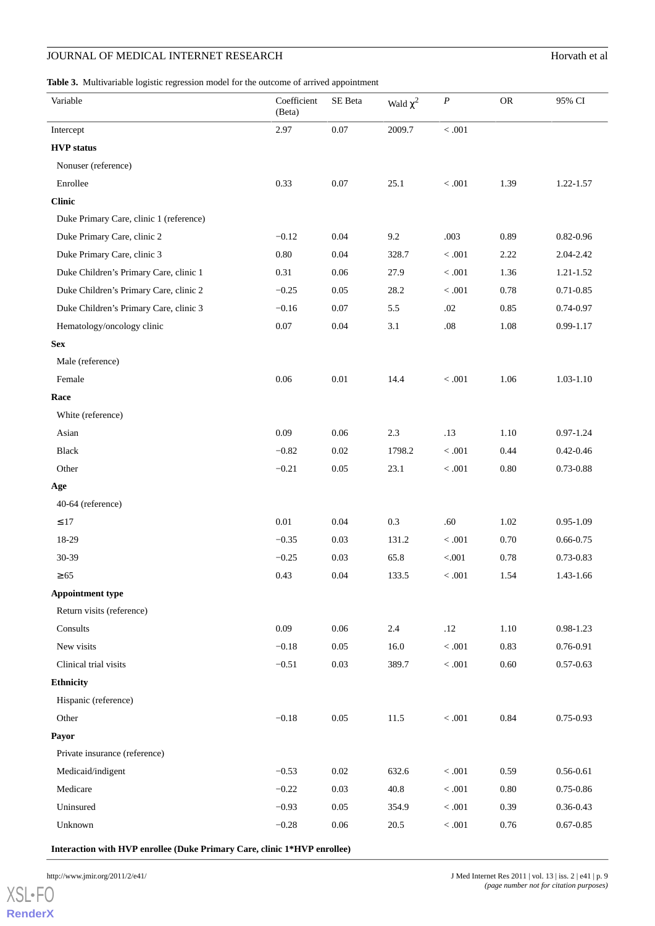# **JOURNAL OF MEDICAL INTERNET RESEARCH** Horvath et al

<span id="page-8-0"></span>**Table 3.** Multivariable logistic regression model for the outcome of arrived appointment

| Variable                                | Coefficient<br>(Beta) | SE Beta  | Wald $\chi^2$ | $\boldsymbol{P}$ | ${\sf OR}$ | 95% CI        |
|-----------------------------------------|-----------------------|----------|---------------|------------------|------------|---------------|
| Intercept                               | 2.97                  | $0.07\,$ | 2009.7        | $<.001$          |            |               |
| <b>HVP</b> status                       |                       |          |               |                  |            |               |
| Nonuser (reference)                     |                       |          |               |                  |            |               |
| Enrollee                                | 0.33                  | $0.07\,$ | 25.1          | $<.001\,$        | 1.39       | 1.22-1.57     |
| <b>Clinic</b>                           |                       |          |               |                  |            |               |
| Duke Primary Care, clinic 1 (reference) |                       |          |               |                  |            |               |
| Duke Primary Care, clinic 2             | $-0.12$               | 0.04     | 9.2           | .003             | 0.89       | $0.82 - 0.96$ |
| Duke Primary Care, clinic 3             | $0.80\,$              | 0.04     | 328.7         | $<.001\,$        | 2.22       | 2.04-2.42     |
| Duke Children's Primary Care, clinic 1  | 0.31                  | $0.06\,$ | 27.9          | $<.001\,$        | 1.36       | $1.21 - 1.52$ |
| Duke Children's Primary Care, clinic 2  | $-0.25$               | 0.05     | 28.2          | $<.001$          | 0.78       | 0.71-0.85     |
| Duke Children's Primary Care, clinic 3  | $-0.16$               | 0.07     | 5.5           | $.02\,$          | 0.85       | 0.74-0.97     |
| Hematology/oncology clinic              | $0.07\,$              | $0.04\,$ | 3.1           | $.08\,$          | 1.08       | $0.99 - 1.17$ |
| <b>Sex</b>                              |                       |          |               |                  |            |               |
| Male (reference)                        |                       |          |               |                  |            |               |
| Female                                  | 0.06                  | 0.01     | 14.4          | $<.001$          | 1.06       | $1.03 - 1.10$ |
| Race                                    |                       |          |               |                  |            |               |
| White (reference)                       |                       |          |               |                  |            |               |
| Asian                                   | 0.09                  | $0.06\,$ | $2.3\,$       | .13              | 1.10       | $0.97 - 1.24$ |
| <b>Black</b>                            | $-0.82$               | 0.02     | 1798.2        | $<.001\,$        | 0.44       | $0.42 - 0.46$ |
| Other                                   | $-0.21$               | 0.05     | 23.1          | $<.001\,$        | $0.80\,$   | 0.73-0.88     |
| Age                                     |                       |          |               |                  |            |               |
| 40-64 (reference)                       |                       |          |               |                  |            |               |
| $\leq 17$                               | $0.01\,$              | 0.04     | $0.3\,$       | $.60\,$          | 1.02       | $0.95 - 1.09$ |
| 18-29                                   | $-0.35$               | 0.03     | 131.2         | $<.001$          | 0.70       | $0.66 - 0.75$ |
| 30-39                                   | $-0.25$               | 0.03     | 65.8          | $< 001$          | 0.78       | 0.73-0.83     |
| $\geq 65$                               | 0.43                  | 0.04     | 133.5         | $<.001$          | 1.54       | 1.43-1.66     |
| <b>Appointment type</b>                 |                       |          |               |                  |            |               |
| Return visits (reference)               |                       |          |               |                  |            |               |
| Consults                                | 0.09                  | $0.06\,$ | 2.4           | $.12\,$          | $1.10\,$   | $0.98 - 1.23$ |
| New visits                              | $-0.18$               | 0.05     | 16.0          | $<.001$          | 0.83       | 0.76-0.91     |
| Clinical trial visits                   | $-0.51$               | 0.03     | 389.7         | $<.001$          | 0.60       | $0.57 - 0.63$ |
| <b>Ethnicity</b>                        |                       |          |               |                  |            |               |
| Hispanic (reference)                    |                       |          |               |                  |            |               |
| Other                                   | $-0.18$               | 0.05     | 11.5          | $<.001$          | $\rm 0.84$ | $0.75 - 0.93$ |
| Payor                                   |                       |          |               |                  |            |               |
| Private insurance (reference)           |                       |          |               |                  |            |               |
| Medicaid/indigent                       | $-0.53$               | $0.02\,$ | 632.6         | $<.001$          | 0.59       | $0.56 - 0.61$ |
| Medicare                                | $-0.22$               | 0.03     | 40.8          | $<.001$          | $0.80\,$   | $0.75 - 0.86$ |
| Uninsured                               | $-0.93$               | 0.05     | 354.9         | $<.001$          | 0.39       | $0.36 - 0.43$ |
| Unknown                                 | $-0.28$               | $0.06\,$ | 20.5          | $<.001$          | 0.76       | $0.67 - 0.85$ |
|                                         |                       |          |               |                  |            |               |

**Interaction with HVP enrollee (Duke Primary Care, clinic 1\*HVP enrollee)**

[XSL](http://www.w3.org/Style/XSL)•FO **[RenderX](http://www.renderx.com/)**

http://www.jmir.org/2011/2/e41/ J Med Internet Res 2011 | vol. 13 | iss. 2 | e41 | p. 9 *(page number not for citation purposes)*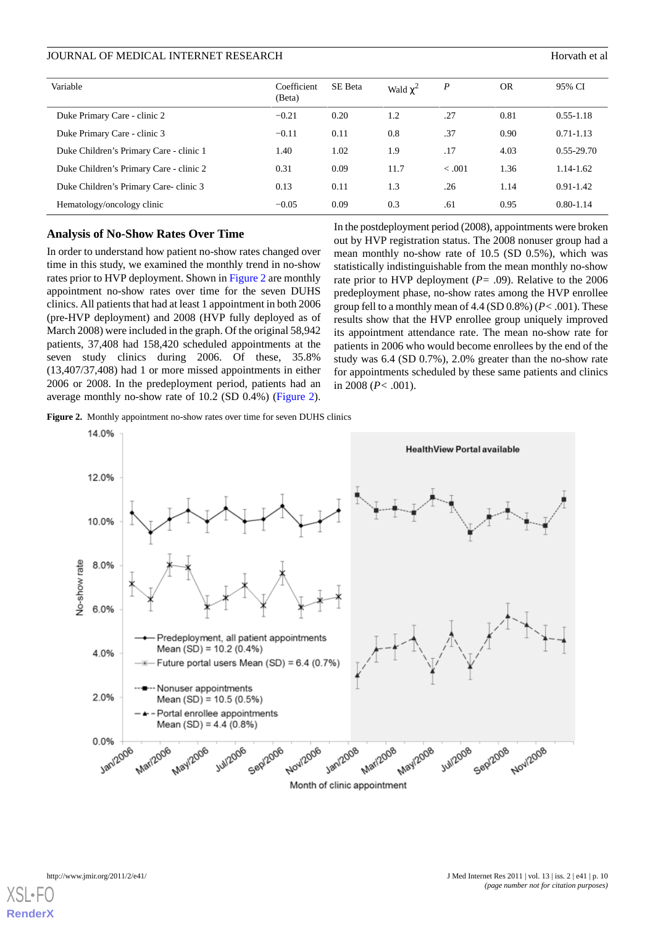| Variable                                | Coefficient<br>(Beta) | SE Beta | Wald $\chi^2$ | $\boldsymbol{P}$ | <b>OR</b> | 95% CI         |
|-----------------------------------------|-----------------------|---------|---------------|------------------|-----------|----------------|
| Duke Primary Care - clinic 2            | $-0.21$               | 0.20    | 1.2           | .27              | 0.81      | $0.55 - 1.18$  |
| Duke Primary Care - clinic 3            | $-0.11$               | 0.11    | 0.8           | .37              | 0.90      | $0.71 - 1.13$  |
| Duke Children's Primary Care - clinic 1 | 1.40                  | 1.02    | 1.9           | .17              | 4.03      | $0.55 - 29.70$ |
| Duke Children's Primary Care - clinic 2 | 0.31                  | 0.09    | 11.7          | $-.001$          | 1.36      | 1.14-1.62      |
| Duke Children's Primary Care-clinic 3   | 0.13                  | 0.11    | 1.3           | .26              | 1.14      | $0.91 - 1.42$  |
| Hematology/oncology clinic              | $-0.05$               | 0.09    | 0.3           | .61              | 0.95      | $0.80 - 1.14$  |

### **Analysis of No-Show Rates Over Time**

In order to understand how patient no-show rates changed over time in this study, we examined the monthly trend in no-show rates prior to HVP deployment. Shown in [Figure 2](#page-9-0) are monthly appointment no-show rates over time for the seven DUHS clinics. All patients that had at least 1 appointment in both 2006 (pre-HVP deployment) and 2008 (HVP fully deployed as of March 2008) were included in the graph. Of the original 58,942 patients, 37,408 had 158,420 scheduled appointments at the seven study clinics during 2006. Of these, 35.8% (13,407/37,408) had 1 or more missed appointments in either 2006 or 2008. In the predeployment period, patients had an average monthly no-show rate of 10.2 (SD 0.4%) [\(Figure 2\)](#page-9-0).

In the postdeployment period (2008), appointments were broken out by HVP registration status. The 2008 nonuser group had a mean monthly no-show rate of 10.5 (SD 0.5%), which was statistically indistinguishable from the mean monthly no-show rate prior to HVP deployment (*P=* .09). Relative to the 2006 predeployment phase, no-show rates among the HVP enrollee group fell to a monthly mean of 4.4 (SD 0.8%) (*P<* .001). These results show that the HVP enrollee group uniquely improved its appointment attendance rate. The mean no-show rate for patients in 2006 who would become enrollees by the end of the study was 6.4 (SD 0.7%), 2.0% greater than the no-show rate for appointments scheduled by these same patients and clinics in 2008 (*P<* .001).

<span id="page-9-0"></span>**Figure 2.** Monthly appointment no-show rates over time for seven DUHS clinics

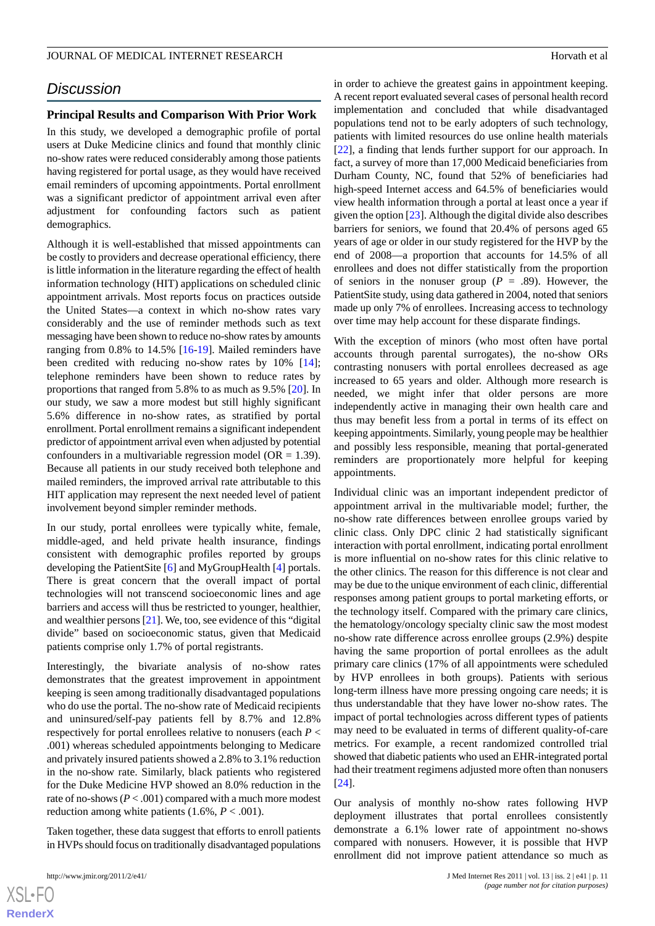# *Discussion*

## **Principal Results and Comparison With Prior Work**

In this study, we developed a demographic profile of portal users at Duke Medicine clinics and found that monthly clinic no-show rates were reduced considerably among those patients having registered for portal usage, as they would have received email reminders of upcoming appointments. Portal enrollment was a significant predictor of appointment arrival even after adjustment for confounding factors such as patient demographics.

Although it is well-established that missed appointments can be costly to providers and decrease operational efficiency, there is little information in the literature regarding the effect of health information technology (HIT) applications on scheduled clinic appointment arrivals. Most reports focus on practices outside the United States—a context in which no-show rates vary considerably and the use of reminder methods such as text messaging have been shown to reduce no-show rates by amounts ranging from 0.8% to 14.5% [\[16](#page-12-10)[-19](#page-12-11)]. Mailed reminders have been credited with reducing no-show rates by 10% [[14\]](#page-12-8); telephone reminders have been shown to reduce rates by proportions that ranged from 5.8% to as much as 9.5% [\[20](#page-12-12)]. In our study, we saw a more modest but still highly significant 5.6% difference in no-show rates, as stratified by portal enrollment. Portal enrollment remains a significant independent predictor of appointment arrival even when adjusted by potential confounders in a multivariable regression model ( $OR = 1.39$ ). Because all patients in our study received both telephone and mailed reminders, the improved arrival rate attributable to this HIT application may represent the next needed level of patient involvement beyond simpler reminder methods.

In our study, portal enrollees were typically white, female, middle-aged, and held private health insurance, findings consistent with demographic profiles reported by groups developing the PatientSite [\[6](#page-12-2)] and MyGroupHealth [\[4](#page-12-1)] portals. There is great concern that the overall impact of portal technologies will not transcend socioeconomic lines and age barriers and access will thus be restricted to younger, healthier, and wealthier persons [[21](#page-12-13)]. We, too, see evidence of this "digital divide" based on socioeconomic status, given that Medicaid patients comprise only 1.7% of portal registrants.

Interestingly, the bivariate analysis of no-show rates demonstrates that the greatest improvement in appointment keeping is seen among traditionally disadvantaged populations who do use the portal. The no-show rate of Medicaid recipients and uninsured/self-pay patients fell by 8.7% and 12.8% respectively for portal enrollees relative to nonusers (each *P* < .001) whereas scheduled appointments belonging to Medicare and privately insured patients showed a 2.8% to 3.1% reduction in the no-show rate. Similarly, black patients who registered for the Duke Medicine HVP showed an 8.0% reduction in the rate of no-shows  $(P < .001)$  compared with a much more modest reduction among white patients  $(1.6\%, P < .001)$ .

Taken together, these data suggest that efforts to enroll patients in HVPs should focus on traditionally disadvantaged populations

in order to achieve the greatest gains in appointment keeping. A recent report evaluated several cases of personal health record implementation and concluded that while disadvantaged populations tend not to be early adopters of such technology, patients with limited resources do use online health materials [[22\]](#page-12-14), a finding that lends further support for our approach. In fact, a survey of more than 17,000 Medicaid beneficiaries from Durham County, NC, found that 52% of beneficiaries had high-speed Internet access and 64.5% of beneficiaries would view health information through a portal at least once a year if given the option [\[23](#page-12-15)]. Although the digital divide also describes barriers for seniors, we found that 20.4% of persons aged 65 years of age or older in our study registered for the HVP by the end of 2008—a proportion that accounts for 14.5% of all enrollees and does not differ statistically from the proportion of seniors in the nonuser group ( $P = .89$ ). However, the PatientSite study, using data gathered in 2004, noted that seniors made up only 7% of enrollees. Increasing access to technology over time may help account for these disparate findings.

With the exception of minors (who most often have portal accounts through parental surrogates), the no-show ORs contrasting nonusers with portal enrollees decreased as age increased to 65 years and older. Although more research is needed, we might infer that older persons are more independently active in managing their own health care and thus may benefit less from a portal in terms of its effect on keeping appointments. Similarly, young people may be healthier and possibly less responsible, meaning that portal-generated reminders are proportionately more helpful for keeping appointments.

Individual clinic was an important independent predictor of appointment arrival in the multivariable model; further, the no-show rate differences between enrollee groups varied by clinic class. Only DPC clinic 2 had statistically significant interaction with portal enrollment, indicating portal enrollment is more influential on no-show rates for this clinic relative to the other clinics. The reason for this difference is not clear and may be due to the unique environment of each clinic, differential responses among patient groups to portal marketing efforts, or the technology itself. Compared with the primary care clinics, the hematology/oncology specialty clinic saw the most modest no-show rate difference across enrollee groups (2.9%) despite having the same proportion of portal enrollees as the adult primary care clinics (17% of all appointments were scheduled by HVP enrollees in both groups). Patients with serious long-term illness have more pressing ongoing care needs; it is thus understandable that they have lower no-show rates. The impact of portal technologies across different types of patients may need to be evaluated in terms of different quality-of-care metrics. For example, a recent randomized controlled trial showed that diabetic patients who used an EHR-integrated portal had their treatment regimens adjusted more often than nonusers [[24\]](#page-12-16).

Our analysis of monthly no-show rates following HVP deployment illustrates that portal enrollees consistently demonstrate a 6.1% lower rate of appointment no-shows compared with nonusers. However, it is possible that HVP enrollment did not improve patient attendance so much as

 $XS$  $\cdot$ FC **[RenderX](http://www.renderx.com/)**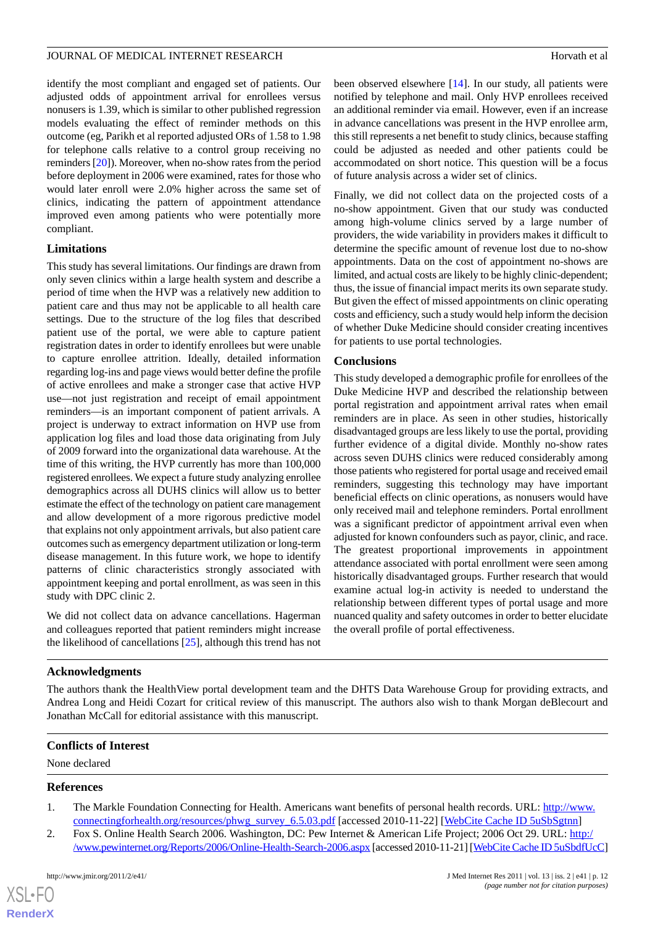identify the most compliant and engaged set of patients. Our adjusted odds of appointment arrival for enrollees versus nonusers is 1.39, which is similar to other published regression models evaluating the effect of reminder methods on this outcome (eg, Parikh et al reported adjusted ORs of 1.58 to 1.98 for telephone calls relative to a control group receiving no reminders [\[20](#page-12-12)]). Moreover, when no-show rates from the period before deployment in 2006 were examined, rates for those who would later enroll were 2.0% higher across the same set of clinics, indicating the pattern of appointment attendance improved even among patients who were potentially more compliant.

## **Limitations**

This study has several limitations. Our findings are drawn from only seven clinics within a large health system and describe a period of time when the HVP was a relatively new addition to patient care and thus may not be applicable to all health care settings. Due to the structure of the log files that described patient use of the portal, we were able to capture patient registration dates in order to identify enrollees but were unable to capture enrollee attrition. Ideally, detailed information regarding log-ins and page views would better define the profile of active enrollees and make a stronger case that active HVP use—not just registration and receipt of email appointment reminders—is an important component of patient arrivals. A project is underway to extract information on HVP use from application log files and load those data originating from July of 2009 forward into the organizational data warehouse. At the time of this writing, the HVP currently has more than 100,000 registered enrollees. We expect a future study analyzing enrollee demographics across all DUHS clinics will allow us to better estimate the effect of the technology on patient care management and allow development of a more rigorous predictive model that explains not only appointment arrivals, but also patient care outcomes such as emergency department utilization or long-term disease management. In this future work, we hope to identify patterns of clinic characteristics strongly associated with appointment keeping and portal enrollment, as was seen in this study with DPC clinic 2.

We did not collect data on advance cancellations. Hagerman and colleagues reported that patient reminders might increase the likelihood of cancellations [\[25](#page-12-17)], although this trend has not been observed elsewhere [\[14](#page-12-8)]. In our study, all patients were notified by telephone and mail. Only HVP enrollees received an additional reminder via email. However, even if an increase in advance cancellations was present in the HVP enrollee arm, this still represents a net benefit to study clinics, because staffing could be adjusted as needed and other patients could be accommodated on short notice. This question will be a focus of future analysis across a wider set of clinics.

Finally, we did not collect data on the projected costs of a no-show appointment. Given that our study was conducted among high-volume clinics served by a large number of providers, the wide variability in providers makes it difficult to determine the specific amount of revenue lost due to no-show appointments. Data on the cost of appointment no-shows are limited, and actual costs are likely to be highly clinic-dependent; thus, the issue of financial impact merits its own separate study. But given the effect of missed appointments on clinic operating costs and efficiency, such a study would help inform the decision of whether Duke Medicine should consider creating incentives for patients to use portal technologies.

## **Conclusions**

This study developed a demographic profile for enrollees of the Duke Medicine HVP and described the relationship between portal registration and appointment arrival rates when email reminders are in place. As seen in other studies, historically disadvantaged groups are less likely to use the portal, providing further evidence of a digital divide. Monthly no-show rates across seven DUHS clinics were reduced considerably among those patients who registered for portal usage and received email reminders, suggesting this technology may have important beneficial effects on clinic operations, as nonusers would have only received mail and telephone reminders. Portal enrollment was a significant predictor of appointment arrival even when adjusted for known confounders such as payor, clinic, and race. The greatest proportional improvements in appointment attendance associated with portal enrollment were seen among historically disadvantaged groups. Further research that would examine actual log-in activity is needed to understand the relationship between different types of portal usage and more nuanced quality and safety outcomes in order to better elucidate the overall profile of portal effectiveness.

## **Acknowledgments**

The authors thank the HealthView portal development team and the DHTS Data Warehouse Group for providing extracts, and Andrea Long and Heidi Cozart for critical review of this manuscript. The authors also wish to thank Morgan deBlecourt and Jonathan McCall for editorial assistance with this manuscript.

## <span id="page-11-1"></span><span id="page-11-0"></span>**Conflicts of Interest**

None declared

## **References**

 $XS$  $\cdot$ FC **[RenderX](http://www.renderx.com/)**

- 1. The Markle Foundation Connecting for Health. Americans want benefits of personal health records. URL: [http://www.](http://www.connectingforhealth.org/resources/phwg_survey_6.5.03.pdf) [connectingforhealth.org/resources/phwg\\_survey\\_6.5.03.pdf](http://www.connectingforhealth.org/resources/phwg_survey_6.5.03.pdf) [accessed 2010-11-22] [\[WebCite Cache ID 5uSbSgtnn\]](http://www.webcitation.org/

                                    5uSbSgtnn)
- 2. Fox S. Online Health Search 2006. Washington, DC: Pew Internet & American Life Project; 2006 Oct 29. URL: [http:/](http://www.pewinternet.org/Reports/2006/Online-Health-Search-2006.aspx) [/www.pewinternet.org/Reports/2006/Online-Health-Search-2006.aspx](http://www.pewinternet.org/Reports/2006/Online-Health-Search-2006.aspx) [accessed 2010-11-21] [\[WebCite Cache ID 5uSbdfUcC\]](http://www.webcitation.org/

                                    5uSbdfUcC)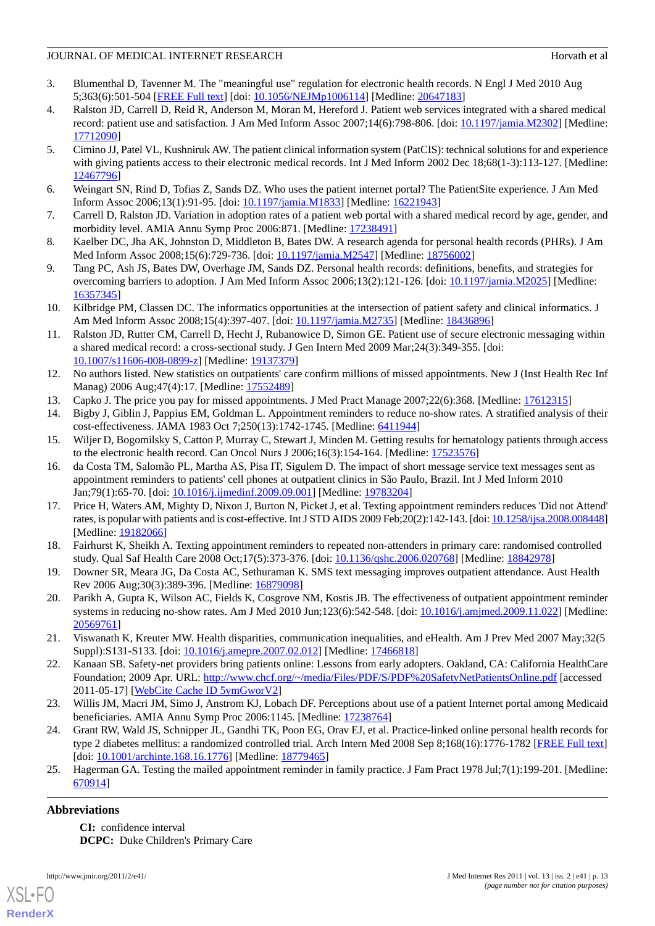- <span id="page-12-0"></span>3. Blumenthal D, Tavenner M. The "meaningful use" regulation for electronic health records. N Engl J Med 2010 Aug 5;363(6):501-504 [[FREE Full text](http://dx.doi.org/10.1056/NEJMp1006114)] [doi: [10.1056/NEJMp1006114\]](http://dx.doi.org/10.1056/NEJMp1006114) [Medline: [20647183\]](http://www.ncbi.nlm.nih.gov/entrez/query.fcgi?cmd=Retrieve&db=PubMed&list_uids=20647183&dopt=Abstract)
- <span id="page-12-1"></span>4. Ralston JD, Carrell D, Reid R, Anderson M, Moran M, Hereford J. Patient web services integrated with a shared medical record: patient use and satisfaction. J Am Med Inform Assoc 2007;14(6):798-806. [doi: [10.1197/jamia.M2302\]](http://dx.doi.org/10.1197/jamia.M2302) [Medline: [17712090](http://www.ncbi.nlm.nih.gov/entrez/query.fcgi?cmd=Retrieve&db=PubMed&list_uids=17712090&dopt=Abstract)]
- 5. Cimino JJ, Patel VL, Kushniruk AW. The patient clinical information system (PatCIS): technical solutions for and experience with giving patients access to their electronic medical records. Int J Med Inform 2002 Dec 18;68(1-3):113-127. [Medline: [12467796](http://www.ncbi.nlm.nih.gov/entrez/query.fcgi?cmd=Retrieve&db=PubMed&list_uids=12467796&dopt=Abstract)]
- <span id="page-12-3"></span><span id="page-12-2"></span>6. Weingart SN, Rind D, Tofias Z, Sands DZ. Who uses the patient internet portal? The PatientSite experience. J Am Med Inform Assoc 2006;13(1):91-95. [doi: [10.1197/jamia.M1833\]](http://dx.doi.org/10.1197/jamia.M1833) [Medline: [16221943](http://www.ncbi.nlm.nih.gov/entrez/query.fcgi?cmd=Retrieve&db=PubMed&list_uids=16221943&dopt=Abstract)]
- <span id="page-12-4"></span>7. Carrell D, Ralston JD. Variation in adoption rates of a patient web portal with a shared medical record by age, gender, and morbidity level. AMIA Annu Symp Proc 2006:871. [Medline: [17238491\]](http://www.ncbi.nlm.nih.gov/entrez/query.fcgi?cmd=Retrieve&db=PubMed&list_uids=17238491&dopt=Abstract)
- 8. Kaelber DC, Jha AK, Johnston D, Middleton B, Bates DW. A research agenda for personal health records (PHRs). J Am Med Inform Assoc 2008;15(6):729-736. [doi: [10.1197/jamia.M2547](http://dx.doi.org/10.1197/jamia.M2547)] [Medline: [18756002](http://www.ncbi.nlm.nih.gov/entrez/query.fcgi?cmd=Retrieve&db=PubMed&list_uids=18756002&dopt=Abstract)]
- 9. Tang PC, Ash JS, Bates DW, Overhage JM, Sands DZ. Personal health records: definitions, benefits, and strategies for overcoming barriers to adoption. J Am Med Inform Assoc 2006;13(2):121-126. [doi: [10.1197/jamia.M2025\]](http://dx.doi.org/10.1197/jamia.M2025) [Medline: [16357345](http://www.ncbi.nlm.nih.gov/entrez/query.fcgi?cmd=Retrieve&db=PubMed&list_uids=16357345&dopt=Abstract)]
- <span id="page-12-5"></span>10. Kilbridge PM, Classen DC. The informatics opportunities at the intersection of patient safety and clinical informatics. J Am Med Inform Assoc 2008;15(4):397-407. [doi: [10.1197/jamia.M2735\]](http://dx.doi.org/10.1197/jamia.M2735) [Medline: [18436896\]](http://www.ncbi.nlm.nih.gov/entrez/query.fcgi?cmd=Retrieve&db=PubMed&list_uids=18436896&dopt=Abstract)
- <span id="page-12-6"></span>11. Ralston JD, Rutter CM, Carrell D, Hecht J, Rubanowice D, Simon GE. Patient use of secure electronic messaging within a shared medical record: a cross-sectional study. J Gen Intern Med 2009 Mar;24(3):349-355. [doi: [10.1007/s11606-008-0899-z](http://dx.doi.org/10.1007/s11606-008-0899-z)] [Medline: [19137379\]](http://www.ncbi.nlm.nih.gov/entrez/query.fcgi?cmd=Retrieve&db=PubMed&list_uids=19137379&dopt=Abstract)
- <span id="page-12-8"></span><span id="page-12-7"></span>12. No authors listed. New statistics on outpatients' care confirm millions of missed appointments. New J (Inst Health Rec Inf Manag) 2006 Aug; 47(4): 17. [Medline: [17552489](http://www.ncbi.nlm.nih.gov/entrez/query.fcgi?cmd=Retrieve&db=PubMed&list_uids=17552489&dopt=Abstract)]
- <span id="page-12-9"></span>13. Capko J. The price you pay for missed appointments. J Med Pract Manage 2007;22(6):368. [Medline: [17612315](http://www.ncbi.nlm.nih.gov/entrez/query.fcgi?cmd=Retrieve&db=PubMed&list_uids=17612315&dopt=Abstract)]
- <span id="page-12-10"></span>14. Bigby J, Giblin J, Pappius EM, Goldman L. Appointment reminders to reduce no-show rates. A stratified analysis of their cost-effectiveness. JAMA 1983 Oct 7;250(13):1742-1745. [Medline: [6411944\]](http://www.ncbi.nlm.nih.gov/entrez/query.fcgi?cmd=Retrieve&db=PubMed&list_uids=6411944&dopt=Abstract)
- 15. Wiljer D, Bogomilsky S, Catton P, Murray C, Stewart J, Minden M. Getting results for hematology patients through access to the electronic health record. Can Oncol Nurs J 2006;16(3):154-164. [Medline: [17523576](http://www.ncbi.nlm.nih.gov/entrez/query.fcgi?cmd=Retrieve&db=PubMed&list_uids=17523576&dopt=Abstract)]
- 16. da Costa TM, Salomão PL, Martha AS, Pisa IT, Sigulem D. The impact of short message service text messages sent as appointment reminders to patients' cell phones at outpatient clinics in São Paulo, Brazil. Int J Med Inform 2010 Jan;79(1):65-70. [doi: [10.1016/j.ijmedinf.2009.09.001\]](http://dx.doi.org/10.1016/j.ijmedinf.2009.09.001) [Medline: [19783204\]](http://www.ncbi.nlm.nih.gov/entrez/query.fcgi?cmd=Retrieve&db=PubMed&list_uids=19783204&dopt=Abstract)
- <span id="page-12-11"></span>17. Price H, Waters AM, Mighty D, Nixon J, Burton N, Picket J, et al. Texting appointment reminders reduces 'Did not Attend' rates, is popular with patients and is cost-effective. Int J STD AIDS 2009 Feb;20(2):142-143. [doi: [10.1258/ijsa.2008.008448\]](http://dx.doi.org/10.1258/ijsa.2008.008448) [Medline: [19182066](http://www.ncbi.nlm.nih.gov/entrez/query.fcgi?cmd=Retrieve&db=PubMed&list_uids=19182066&dopt=Abstract)]
- <span id="page-12-12"></span>18. Fairhurst K, Sheikh A. Texting appointment reminders to repeated non-attenders in primary care: randomised controlled study. Qual Saf Health Care 2008 Oct;17(5):373-376. [doi: [10.1136/qshc.2006.020768](http://dx.doi.org/10.1136/qshc.2006.020768)] [Medline: [18842978](http://www.ncbi.nlm.nih.gov/entrez/query.fcgi?cmd=Retrieve&db=PubMed&list_uids=18842978&dopt=Abstract)]
- <span id="page-12-13"></span>19. Downer SR, Meara JG, Da Costa AC, Sethuraman K. SMS text messaging improves outpatient attendance. Aust Health Rev 2006 Aug;30(3):389-396. [Medline: [16879098](http://www.ncbi.nlm.nih.gov/entrez/query.fcgi?cmd=Retrieve&db=PubMed&list_uids=16879098&dopt=Abstract)]
- <span id="page-12-14"></span>20. Parikh A, Gupta K, Wilson AC, Fields K, Cosgrove NM, Kostis JB. The effectiveness of outpatient appointment reminder systems in reducing no-show rates. Am J Med 2010 Jun;123(6):542-548. [doi: [10.1016/j.amjmed.2009.11.022](http://dx.doi.org/10.1016/j.amjmed.2009.11.022)] [Medline: [20569761](http://www.ncbi.nlm.nih.gov/entrez/query.fcgi?cmd=Retrieve&db=PubMed&list_uids=20569761&dopt=Abstract)]
- <span id="page-12-15"></span>21. Viswanath K, Kreuter MW. Health disparities, communication inequalities, and eHealth. Am J Prev Med 2007 May;32(5 Suppl):S131-S133. [doi: [10.1016/j.amepre.2007.02.012](http://dx.doi.org/10.1016/j.amepre.2007.02.012)] [Medline: [17466818](http://www.ncbi.nlm.nih.gov/entrez/query.fcgi?cmd=Retrieve&db=PubMed&list_uids=17466818&dopt=Abstract)]
- <span id="page-12-16"></span>22. Kanaan SB. Safety-net providers bring patients online: Lessons from early adopters. Oakland, CA: California HealthCare Foundation; 2009 Apr. URL: <http://www.chcf.org/~/media/Files/PDF/S/PDF%20SafetyNetPatientsOnline.pdf> [accessed 2011-05-17] [\[WebCite Cache ID 5ymGworV2\]](http://www.webcitation.org/

                                    5ymGworV2)
- <span id="page-12-17"></span>23. Willis JM, Macri JM, Simo J, Anstrom KJ, Lobach DF. Perceptions about use of a patient Internet portal among Medicaid beneficiaries. AMIA Annu Symp Proc 2006:1145. [Medline: [17238764\]](http://www.ncbi.nlm.nih.gov/entrez/query.fcgi?cmd=Retrieve&db=PubMed&list_uids=17238764&dopt=Abstract)
- 24. Grant RW, Wald JS, Schnipper JL, Gandhi TK, Poon EG, Orav EJ, et al. Practice-linked online personal health records for type 2 diabetes mellitus: a randomized controlled trial. Arch Intern Med 2008 Sep 8;168(16):1776-1782 [\[FREE Full text\]](http://archinte.ama-assn.org/cgi/pmidlookup?view=long&pmid=18779465) [doi: [10.1001/archinte.168.16.1776\]](http://dx.doi.org/10.1001/archinte.168.16.1776) [Medline: [18779465\]](http://www.ncbi.nlm.nih.gov/entrez/query.fcgi?cmd=Retrieve&db=PubMed&list_uids=18779465&dopt=Abstract)
- 25. Hagerman GA. Testing the mailed appointment reminder in family practice. J Fam Pract 1978 Jul;7(1):199-201. [Medline: [670914](http://www.ncbi.nlm.nih.gov/entrez/query.fcgi?cmd=Retrieve&db=PubMed&list_uids=670914&dopt=Abstract)]

# **Abbreviations**

**CI:** confidence interval **DCPC:** Duke Children's Primary Care



**[RenderX](http://www.renderx.com/)**